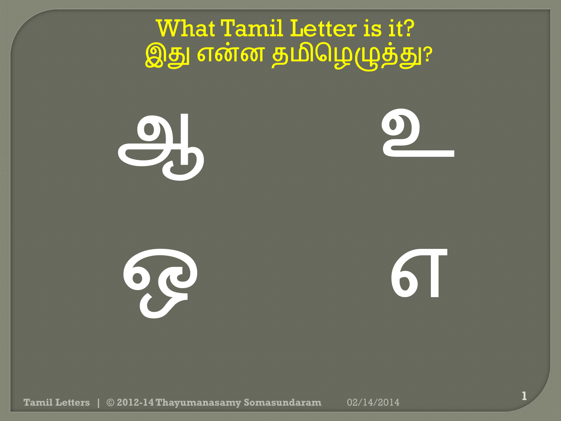ஆ



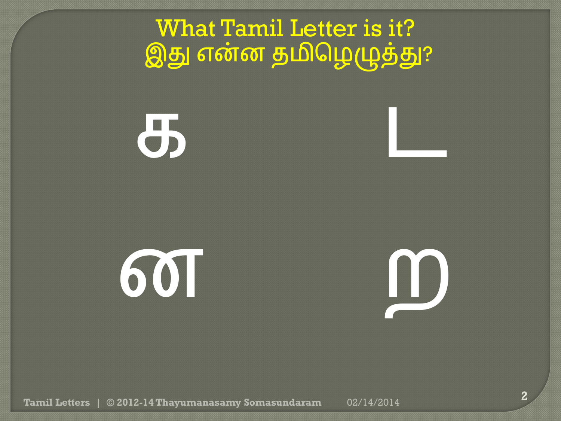க ட

ன ற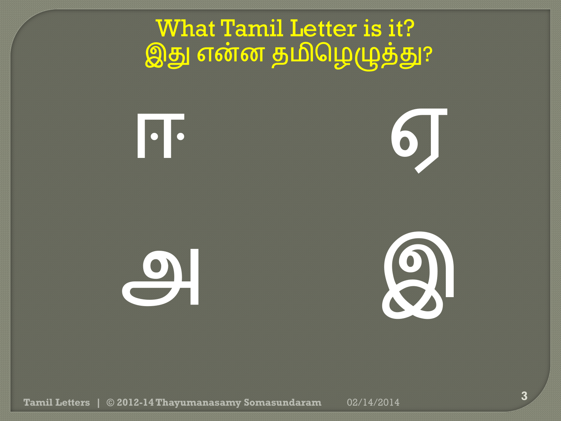ஈ ஏ

அ இ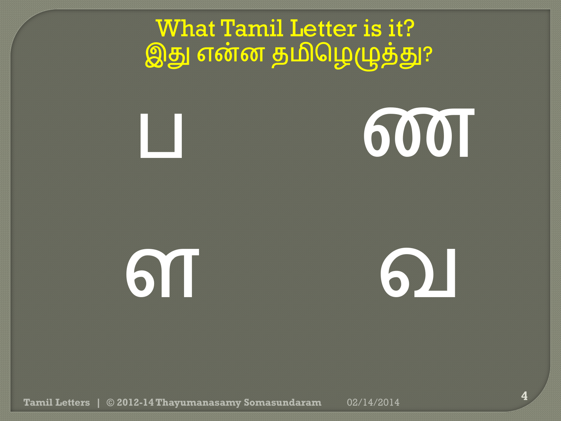**6001** 

ள வ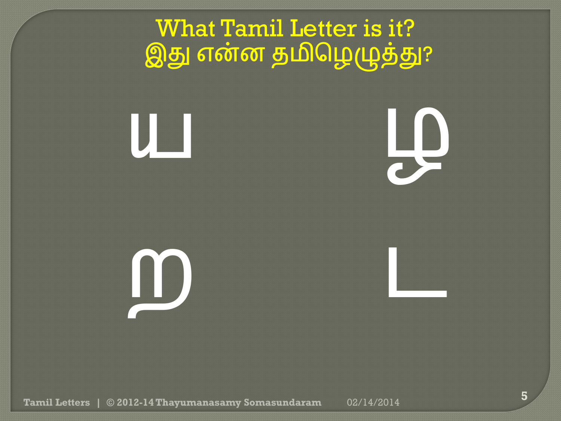

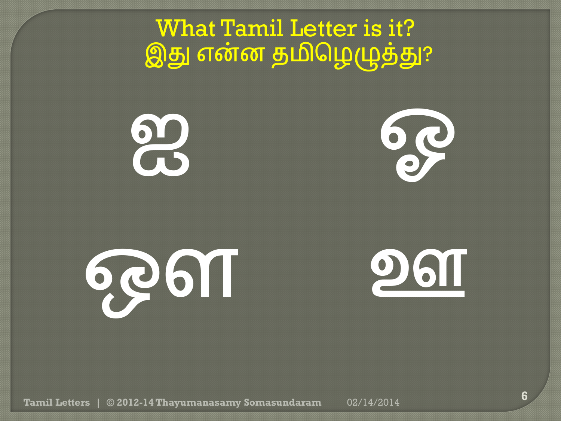

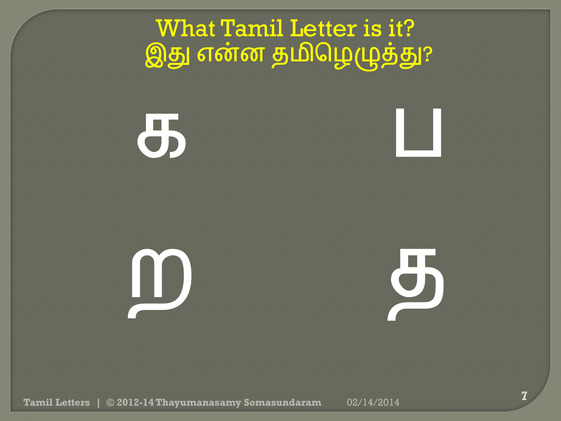



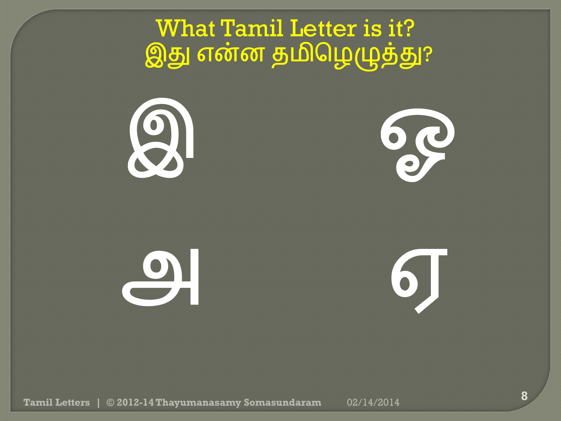$\mathcal{G}$ 

அ ஏ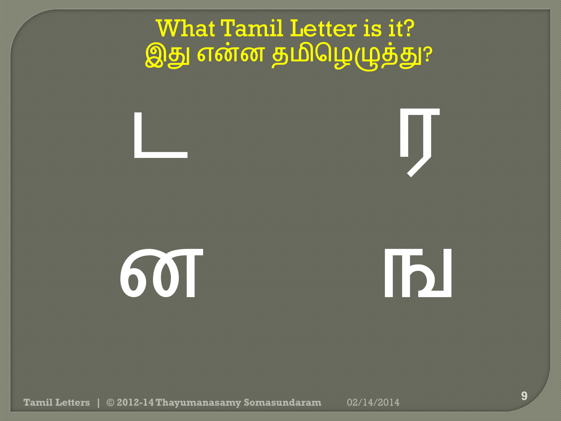

ன ங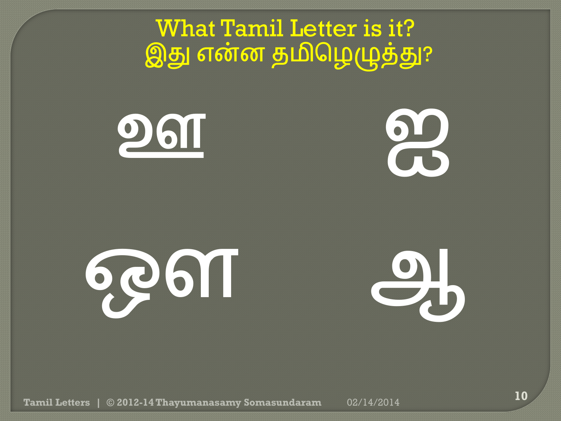



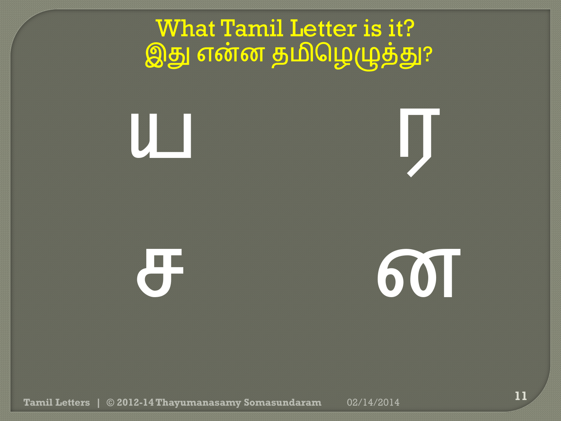



ச ன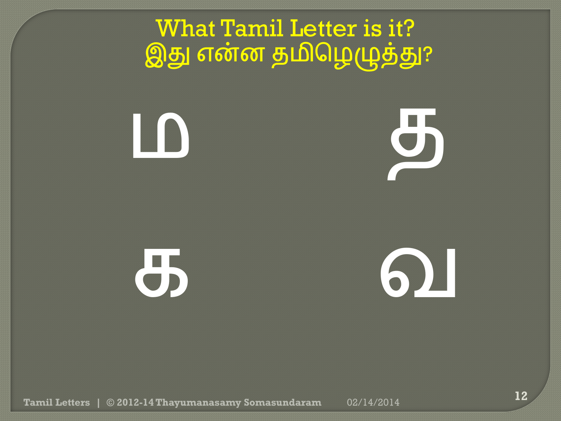ம த

க வ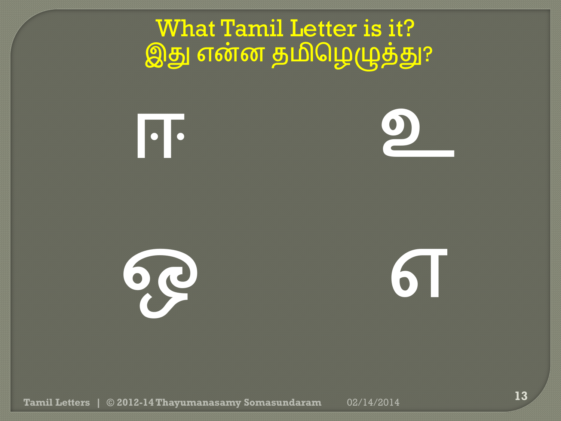



<u>при разници од народници од народници од народници од народници од народници од народници од народници од народници </u>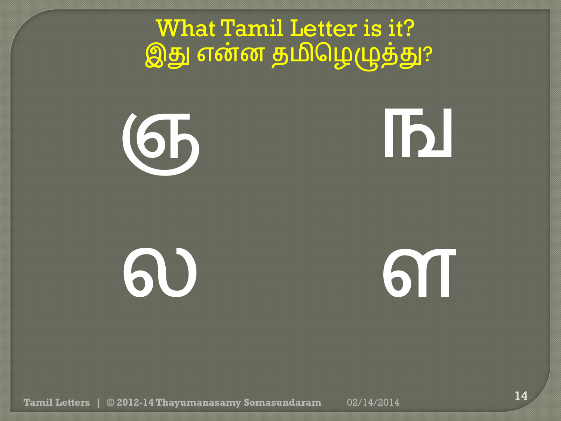

# ல வ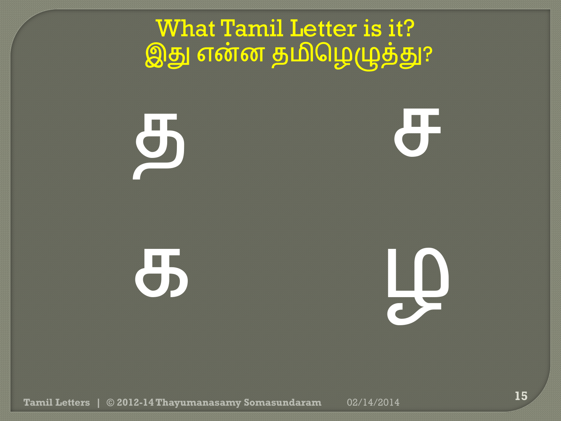$\overline{\mathbf{a}}$ க ெ What Tamil Letter is it? இது என்ன தமிழெழுத்து?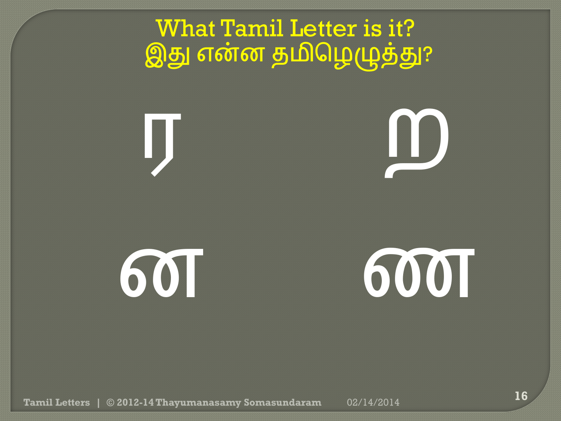

## ன ண